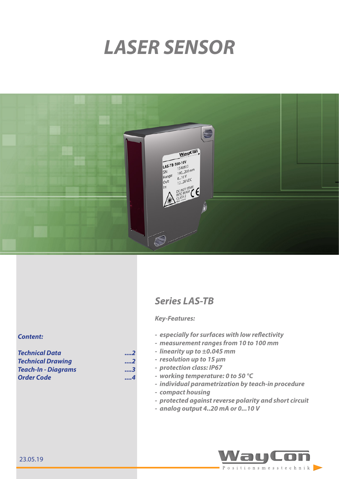# *LASER SENSOR*



## *Series LAS-TB*

#### *Key-Features:*

- *- especially for surfaces with low reflectivity*
- *- measurement ranges from 10 to 100 mm*
- *- linearity up to ±0.045 mm*
- *- resolution up to 15 µm*
- *- protection class: IP67*
	- *- working temperature: 0 to 50 °C*
	- *- individual parametrization by teach-in procedure*
- *- compact housing*
- *- protected against reverse polarity and short circuit*
- *- analog output 4..20 mA or 0...10 V*



#### *Content:*

*[Technical Data ....2](#page-1-0)* **Technical Drawing** *[Teach-In - Diagrams](#page-2-0) ....3 Order Code ....4*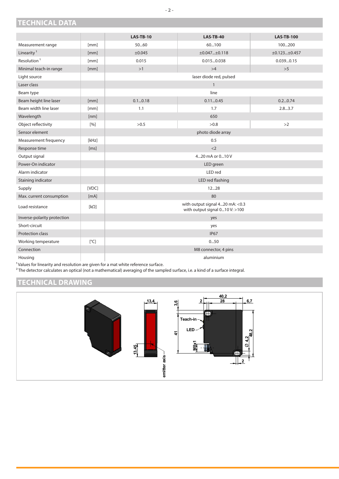## <span id="page-1-0"></span>**TECHNICAL DATA**

|                             |             | <b>LAS-TB-10</b>                                                   | <b>LAS-TB-40</b> | <b>LAS-TB-100</b> |  |
|-----------------------------|-------------|--------------------------------------------------------------------|------------------|-------------------|--|
| Measurement range           | [mm]        | 5060                                                               | 60100            | 100200            |  |
| Linearity <sup>1</sup>      | [mm]        | ±0.045                                                             | ±0.047±0.118     | ±0.123±0.457      |  |
| Resolution <sup>1</sup>     | [mm]        | 0.015                                                              | 0.0150.038       | 0.0390.15         |  |
| Minimal teach-in range      | [mm]        | >1                                                                 | >4               | >5                |  |
| Light source                |             | laser diode red, pulsed                                            |                  |                   |  |
| Laser class                 |             | $\mathbf{1}$                                                       |                  |                   |  |
| Beam type                   |             |                                                                    | line             |                   |  |
| Beam height line laser      | [mm]        | 0.10.18                                                            | 0.110.45         | 0.20.74           |  |
| Beam width line laser       | [mm]        | 1.1                                                                | 1.7              | 2.83.7            |  |
| Wavelength                  | [nm]        |                                                                    | 650              |                   |  |
| Object reflectivity         | [%]         | >0.5                                                               | >0.8             | >2                |  |
| Sensor element              |             | photo diode array                                                  |                  |                   |  |
| Measurement frequency       | [kHz]       | 0.5                                                                |                  |                   |  |
| Response time               | [ms]        | $<$ 2                                                              |                  |                   |  |
| Output signal               |             | 420 mA or 010 V                                                    |                  |                   |  |
| Power-On indicator          |             | LED green                                                          |                  |                   |  |
| Alarm indicator             |             | LED red                                                            |                  |                   |  |
| Staining indicator          |             |                                                                    | LED red flashing |                   |  |
| Supply                      | [VDC]       |                                                                    | 1228             |                   |  |
| Max. current consumption    | [mA]        |                                                                    | 80               |                   |  |
| Load resistance             | $[k\Omega]$ | with output signal 420 mA: < 0.3<br>with output signal 010 V: >100 |                  |                   |  |
| Inverse-polarity protection |             |                                                                    | yes              |                   |  |
| Short-circuit               |             | yes                                                                |                  |                   |  |
| Protection class            |             | <b>IP67</b>                                                        |                  |                   |  |
| Working temperature         | [°C]        | 050                                                                |                  |                   |  |
| Connection                  |             | M8 connector, 4 pins                                               |                  |                   |  |
| Housing                     |             | aluminium                                                          |                  |                   |  |

 $<sup>1</sup>$  Values for linearity and resolution are given for a mat white reference surface.</sup>

² The detector calculates an optical (not a mathematical) averaging of the sampled surface, i.e. a kind of a surface integral.

## **TECHNICAL DRAWING**



**- 2 -**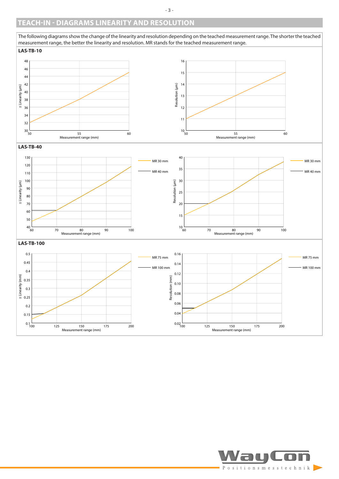### <span id="page-2-0"></span>**TEACH-IN - DIAGRAMS LINEARITY AND RESOLUTION**